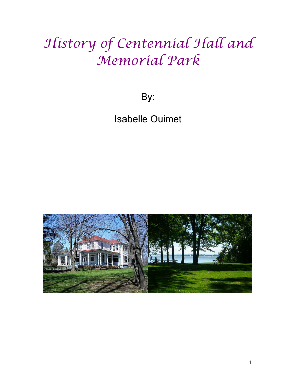## History of Centennial Hall and Memorial Park

By:

Isabelle Ouimet

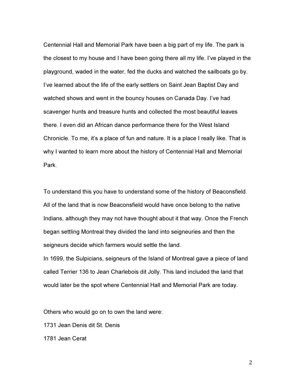Centennial Hall and Memorial Park have been a big part of my life. The park is the closest to my house and I have been going there all my life. I've played in the playground, waded in the water, fed the ducks and watched the sailboats go by. I've learned about the life of the early settlers on Saint Jean Baptist Day and watched shows and went in the bouncy houses on Canada Day. I've had scavenger hunts and treasure hunts and collected the most beautiful leaves there. I even did an African dance performance there for the West Island Chronicle. To me, it's a place of fun and nature. It is a place I really like. That is why I wanted to learn more about the history of Centennial Hall and Memorial Park.

To understand this you have to understand some of the history of Beaconsfield. All of the land that is now Beaconsfield would have once belong to the native Indians, although they may not have thought about it that way. Once the French began settling Montreal they divided the land into seigneuries and then the seigneurs decide which farmers would settle the land.

In 1699, the Sulpicians, seigneurs of the Island of Montreal gave a piece of land called Terrier 136 to Jean Charlebois dit Jolly. This land included the land that would later be the spot where Centennial Hall and Memorial Park are today.

Others who would go on to own the land were:

1731 Jean Denis dit St. Denis

1781 Jean Cerat

2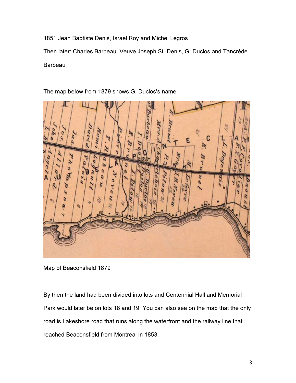1851 Jean Baptiste Denis, Israel Roy and Michel Legros

Then later: Charles Barbeau, Veuve Joseph St. Denis, G. Duclos and Tancrède Barbeau



The map below from 1879 shows G. Duclos's name

Map of Beaconsfield 1879

By then the land had been divided into lots and Centennial Hall and Memorial Park would later be on lots 18 and 19. You can also see on the map that the only road is Lakeshore road that runs along the waterfront and the railway line that reached Beaconsfield from Montreal in 1853.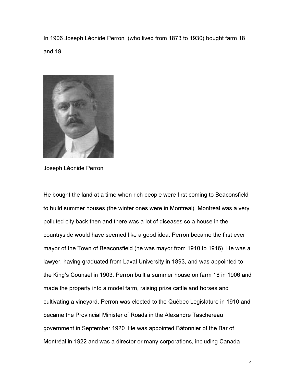In 1906 Joseph Léonide Perron (who lived from 1873 to 1930) bought farm 18 and 19.



Joseph Léonide Perron

He bought the land at a time when rich people were first coming to Beaconsfield to build summer houses (the winter ones were in Montreal). Montreal was a very polluted city back then and there was a lot of diseases so a house in the countryside would have seemed like a good idea. Perron became the first ever mayor of the Town of Beaconsfield (he was mayor from 1910 to 1916). He was a lawyer, having graduated from Laval University in 1893, and was appointed to the King's Counsel in 1903. Perron built a summer house on farm 18 in 1906 and made the property into a model farm, raising prize cattle and horses and cultivating a vineyard. Perron was elected to the Québec Legislature in 1910 and became the Provincial Minister of Roads in the Alexandre Taschereau government in September 1920. He was appointed Bâtonnier of the Bar of Montréal in 1922 and was a director or many corporations, including Canada

4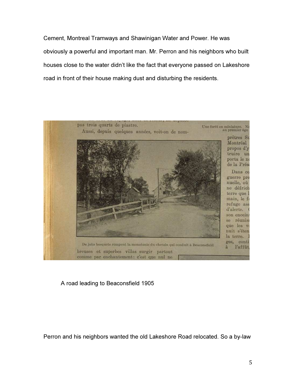Cement, Montreal Tramways and Shawinigan Water and Power. He was obviously a powerful and important man. Mr. Perron and his neighbors who built houses close to the water didn't like the fact that everyone passed on Lakeshore road in front of their house making dust and disturbing the residents.



A road leading to Beaconsfield 1905

Perron and his neighbors wanted the old Lakeshore Road relocated. So a by-law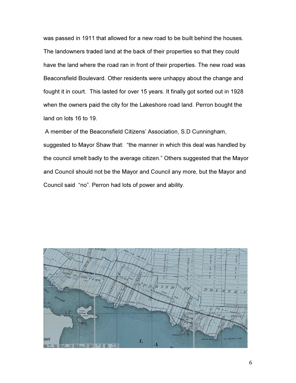was passed in 1911 that allowed for a new road to be built behind the houses. The landowners traded land at the back of their properties so that they could have the land where the road ran in front of their properties. The new road was Beaconsfield Boulevard. Other residents were unhappy about the change and fought it in court. This lasted for over 15 years. It finally got sorted out in 1928 when the owners paid the city for the Lakeshore road land. Perron bought the land on lots 16 to 19.

 A member of the Beaconsfield Citizens' Association, S.D Cunningham, suggested to Mayor Shaw that: "the manner in which this deal was handled by the council smelt badly to the average citizen." Others suggested that the Mayor and Council should not be the Mayor and Council any more, but the Mayor and Council said "no". Perron had lots of power and ability.

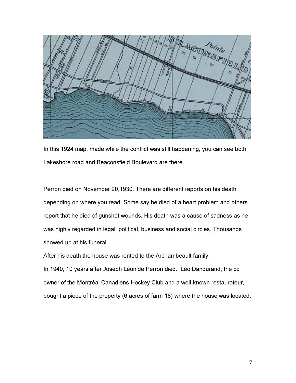

In this 1924 map, made while the conflict was still happening, you can see both Lakeshore road and Beaconsfield Boulevard are there.

Perron died on November 20,1930. There are different reports on his death depending on where you read. Some say he died of a heart problem and others report that he died of gunshot wounds. His death was a cause of sadness as he was highly regarded in legal, political, business and social circles. Thousands showed up at his funeral.

After his death the house was rented to the Archambeault family.

In 1940, 10 years after Joseph Léonide Perron died. Léo Dandurand, the co owner of the Montréal Canadiens Hockey Club and a well-known restaurateur, bought a piece of the property (6 acres of farm 18) where the house was located.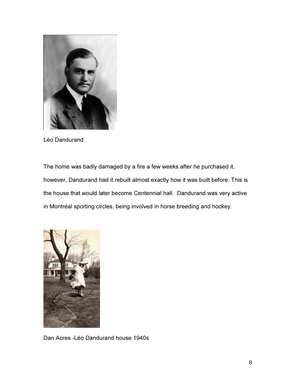

Léo Dandurand

The home was badly damaged by a fire a few weeks after he purchased it, however, Dandurand had it rebuilt almost exactly how it was built before. This is the house that would later become Centennial hall. Dandurand was very active in Montréal sporting circles, being involved in horse breeding and hockey.



Dan Acres -Léo Dandurand house 1940s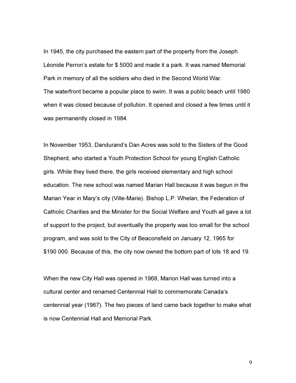In 1945, the city purchased the eastern part of the property from the Joseph Léonide Perron's estate for \$ 5000 and made it a park. It was named Memorial Park in memory of all the soldiers who died in the Second World War. The waterfront became a popular place to swim. It was a public beach until 1980 when it was closed because of pollution. It opened and closed a few times until it was permanently closed in 1984.

In November 1953, Dandurand's Dan Acres was sold to the Sisters of the Good Shepherd, who started a Youth Protection School for young English Catholic girls. While they lived there, the girls received elementary and high school education. The new school was named Marian Hall because it was begun in the Marian Year in Mary's city (Ville-Marie). Bishop L.P. Whelan, the Federation of Catholic Charities and the Minister for the Social Welfare and Youth all gave a lot of support to the project, but eventually the property was too small for the school program, and was sold to the City of Beaconsfield on January 12, 1965 for \$190 000. Because of this, the city now owned the bottom part of lots 18 and 19.

When the new City Hall was opened in 1968, Marion Hall was turned into a cultural center and renamed Centennial Hall to commemorate Canada's centennial year (1967). The two pieces of land came back together to make what is now Centennial Hall and Memorial Park.

9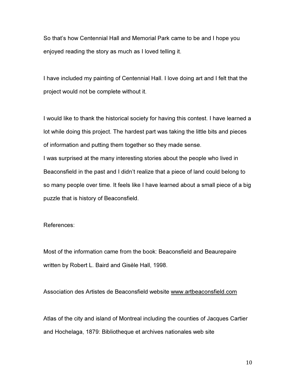So that's how Centennial Hall and Memorial Park came to be and I hope you enjoyed reading the story as much as I loved telling it.

I have included my painting of Centennial Hall. I love doing art and I felt that the project would not be complete without it.

I would like to thank the historical society for having this contest. I have learned a lot while doing this project. The hardest part was taking the little bits and pieces of information and putting them together so they made sense.

I was surprised at the many interesting stories about the people who lived in Beaconsfield in the past and I didn't realize that a piece of land could belong to so many people over time. It feels like I have learned about a small piece of a big puzzle that is history of Beaconsfield.

References:

Most of the information came from the book: Beaconsfield and Beaurepaire written by Robert L. Baird and Gisèle Hall, 1998.

Association des Artistes de Beaconsfield website www.artbeaconsfield.com

Atlas of the city and island of Montreal including the counties of Jacques Cartier and Hochelaga, 1879: Bibliotheque et archives nationales web site